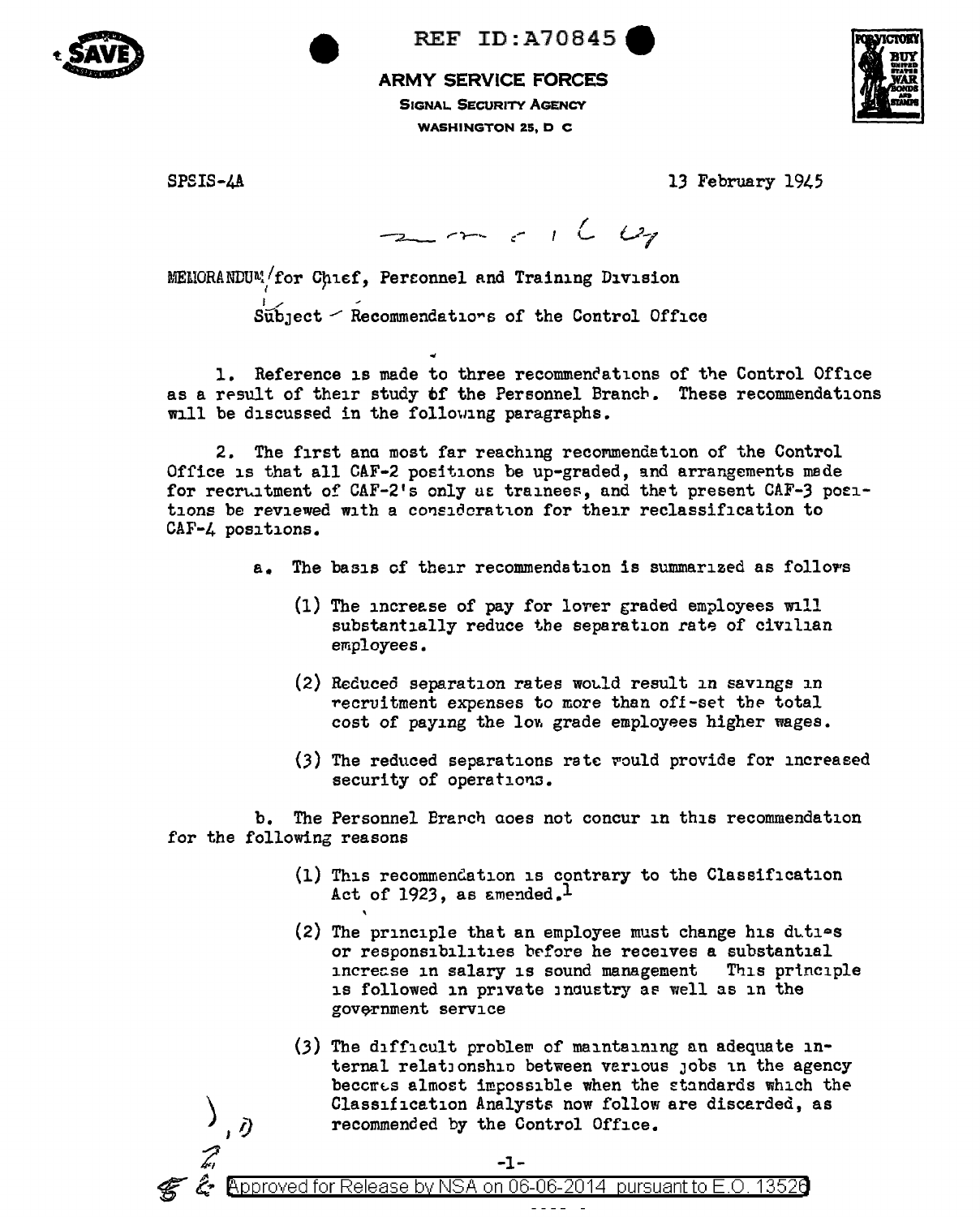

**REF ID: A70845** 

## **ARMY SERVICE FORCES**

**SIGNAL SECURITY AGENCY WASHINGTON 25, D C** 



SPSIS-4A

 $\bar{\partial}$ 

13 February 1945

 $2m + 160$ 

MEMORANDUM/for Chief, Personnel and Training Division

Subject - Recommendations of the Control Office

1. Reference is made to three recommendations of the Control Office as a result of their study of the Personnel Branch. These recommendations will be discussed in the following paragraphs.

2. The first and most far reaching recommendation of the Control Office is that all CAF-2 positions be up-graded, and arrangements made for recruitment of CAF-2's only as trainees, and that present CAF-3 positions be reviewed with a consideration for their reclassification to CAF-4 positions.

- The basis of their recommendation is summarized as follows  $a_{-}$ 
	- (1) The increase of pay for lover graded employees will substantially reduce the separation rate of civilian employees.
	- (2) Reduced separation rates would result in savings in recruitment expenses to more than off-set the total cost of paying the low grade employees higher wages.
	- (3) The reduced separations rate would provide for increased security of operations.

b. The Personnel Branch aces not concur in this recommendation for the following reasons

 $-1-$ ໌໕• βρproved for Release by NSA on 06-06-2014 pursuant to E.O. 13526

- (1) This recommendation is contrary to the Classification Act of 1923, as amended.<sup>1</sup>
- (2) The principle that an employee must change his dities or responsibilities before he receives a substantial increase in salary is sound management This principle is followed in private industry as well as in the government service
- (3) The difficult problem of maintaining an adequate internal relationship between various jobs in the agency becomes almost impossible when the standards which the Classification Analysts now follow are discarded, as recommended by the Control Office.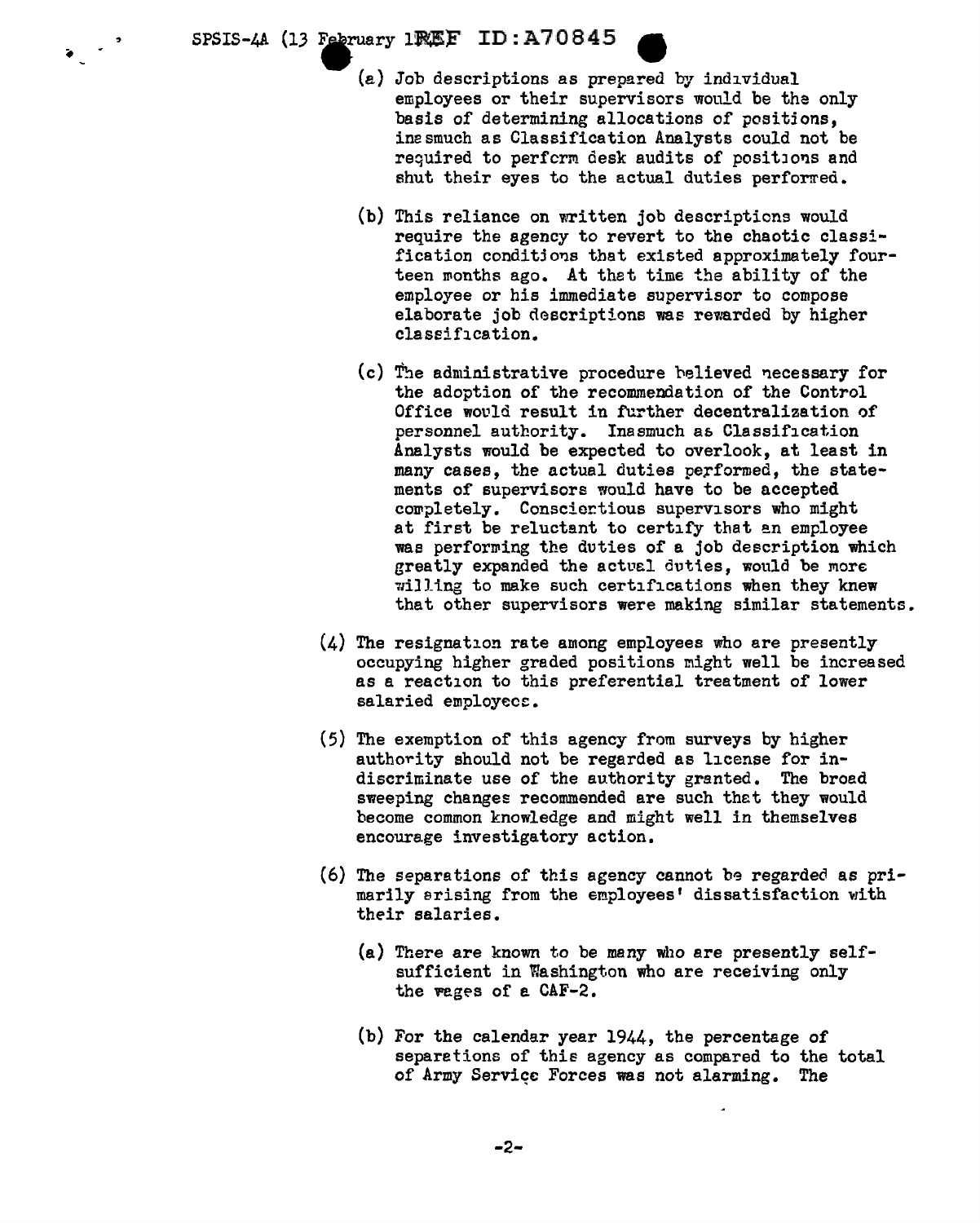$SPSIS-AA$  (13 February 1PMEF ID: A  $70845$ 

 $\sqrt{2}$ 

(a) Job descriptions as prepared by individual employees or their supervisors would be the only basis of determining allocations of positjons, inesmuch as Classification Analysts could not be required to perform desk audits of positions and shut their eyes to the actual duties performed.

- (b) This reliance on written job descriptions would require the agency to revert to the chaotic classification conditions that existed approximately fourteen months ago. At that time the ability of the employee or his immediate supervisor to compose elaborate job descriptions was rewarded by higher classification.
- $(c)$  The administrative procedure believed necessary for the adoption of the recommendation of the Control Office would result in further decentralization of personnel authority. Inasmuch a6 Classification Analysts would be expected to overlook, at least in many cases, the actual duties performed, the statements of supervisors would have to be accepted corpletely. Consciertious supervisors who might at first be reluctant to certify that an employee was performing the duties of a job description which greatly expanded the actual duties, would be more willing to make such certifications when they knew that other supervisors were making similar statements.
- (4) The resignation rate among employees who are presently occupying higher graded positions might well be increased as a reaction to this preferential treatment of lower salaried employees.
- (5) The exemption of this agency from surveys by higher authority should not be regarded as license for indiscriminate use of the authority granted. The broad sweeping changes recommended are such thet they would become common knowledge and might well in themselves encourage investigatory action.
- $(6)$  The separations of this agency cannot be regarded as primarily arising from the employees' dissatisfaction with their salaries.
	- (a) There are known to be many who are presently selfsufficient in Washington who are receiving only the wages of a  $CAF-2$ .
	- (b) For the calendar year 1944, the percentage of separetions of this agency as compared to the total of Army Service Forces was not alarming. The

-2-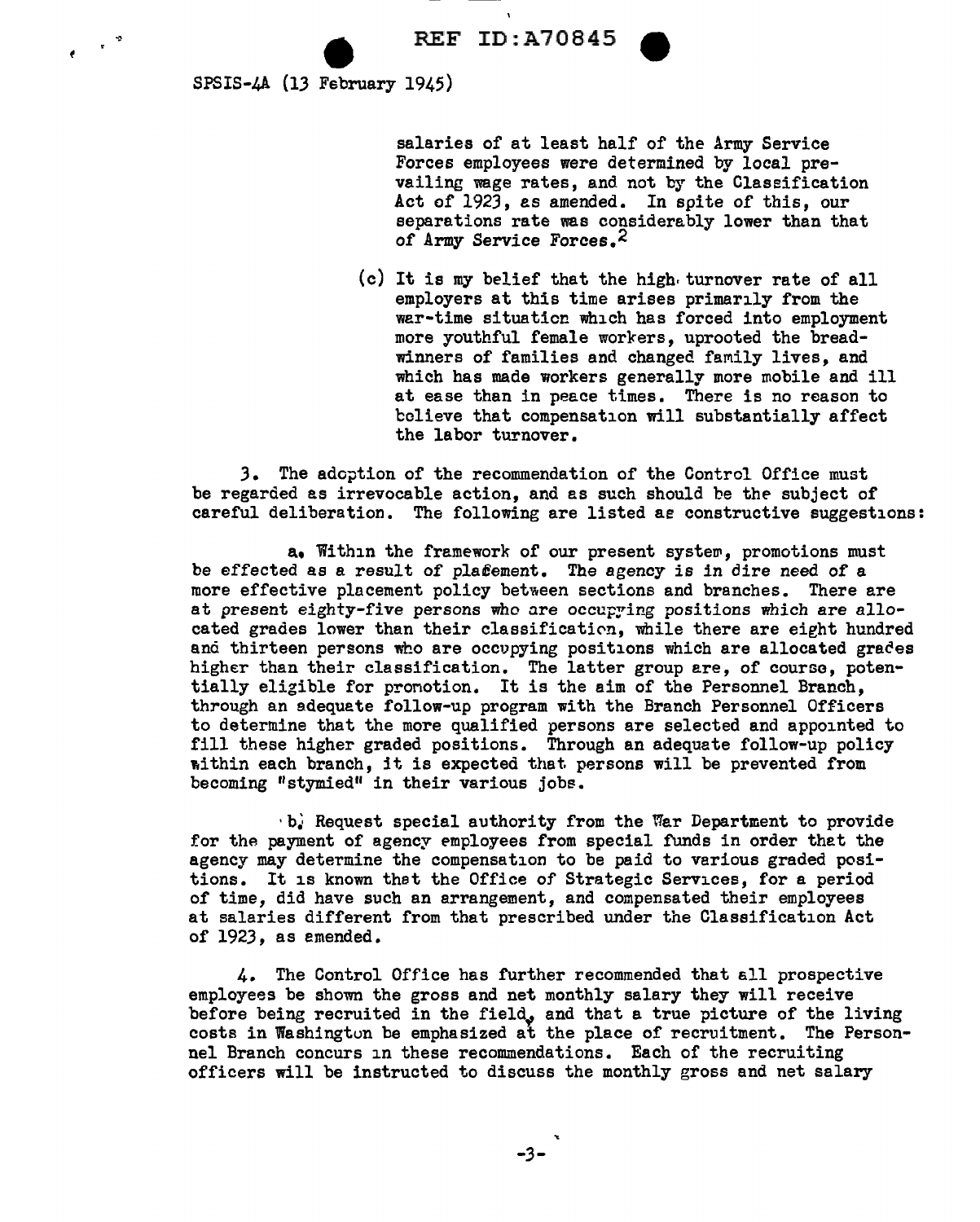SPSIS-4A (13 February 1945)

 $e^{-\frac{1}{2}x}$ 

salaries of at least half of the Army Service Forces employees were determined by local prevailing wage rates, and not by the Classification Act of 1923, as amended. In spite of this, our separations rate was considerably lower than that of Army Service Forces.<sup>2</sup>

(c) It is my belief that the high. turnover rate of all employers at this time arises primarily from the war-time situation which has forced into employment more youthful female workers, uprooted the breadwinners of families and changed family lives, and which has made workers generally more mobile and ill at ease than in peace times. There is no reason to believe that compensation will substantially affect the labor turnover.

*3.* The adoption of the recommendation of the Control Office must be regarded as irrevocable action, and as such should be the subject of careful deliberation. The following are listed *ae* constructive suggestions:

a, Within the framework of our present syste~, promotions must be effected as a result of plafement. The agency is in dire need of a more effective placement policy between sections and branches. There are at present eighty-five persons who are occupring positions which are allocated grades lower than their classification, while there are eight hundred and thirteen persons who are occupying positions which are allocated grades higher than their classification. The latter group ere, of course, potentially eligible for pronotion. It is the aim of the Personnel Branch, through an adequate follow-up program with the Branch Personnel Officers to determine that the more qualified persons are selected and appointed to fill these higher graded positions. Through an adequate follow-up policy within each branch, it is expected that persons will be prevented from becoming "stymied" in their various jobe.

 $\cdot$  b. Request special authority from the War Department to provide for the payment of agency employees from special funds in order that the agency may determine the compensation to be paid to various graded positions. It is known thet the Office of Strategic Services, for a period of time, did have such an arrangement, and compensated their employees at salaries different from that prescribed under the Classification Act of 1923, as emended.

4. The Control Office has further recommended that all prospective employees be shown the gross and net monthly salary they will receive before being recruited in the field, and that a true picture of the living costs in Washington be emphasized at the place of recruitment. The Personnel Branch concurs in these recommendations. Each of the recruiting officers will be instructed to discuss the monthly gross and net salary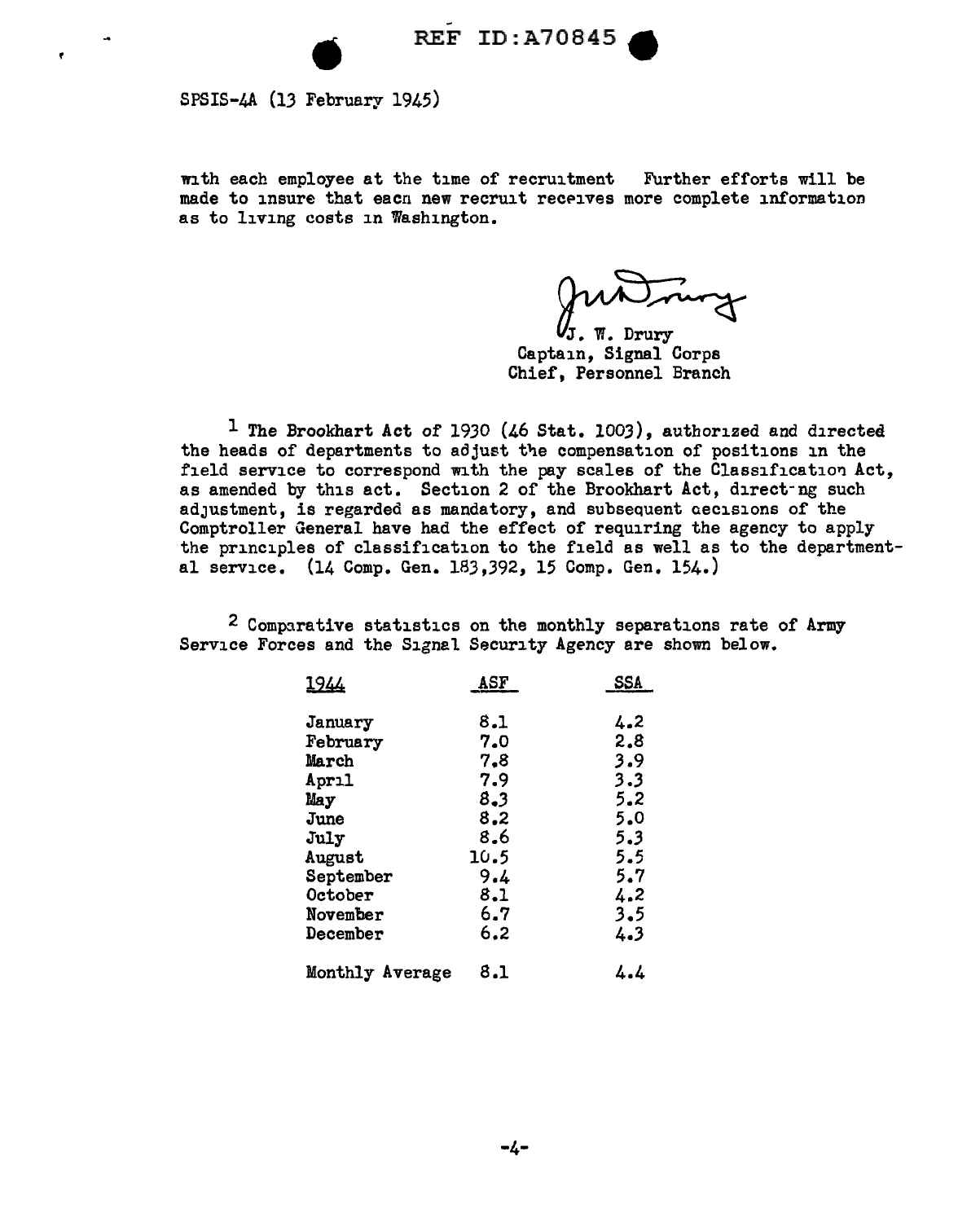SPSIS-4A (13 February 1945)

 $\mathbf{r}$ 

with each employee at the time of recruitment Further efforts will be made to insure that eacn new recruit receives more complete information as to living costs in Washington.

Jun Trury<br>J. W. Drury<br>ain, Signal Corps

Captain, Signal Corps Chief, Personnel Branch

<sup>1</sup> The Brookhart Act of 1930 (46 Stat. 1003), authorized and directed the heads of departments to adjust the compensation of positions in the field service to correspond with the pay scales of the Classification Act, as amended by this act. Section 2 of the Brookhart Act, direct-ng such adJustment, is regarded as mandatory, and subsequent aecisions of the Comptroller General have had the effect of requiring the agency to apply the principles of classification to the field as well as to the departmental service. (14 Comp. Gen. 183,392, 15 Comp. Gen. 154.)

2 Comparative statistics on the monthly separations rate of Army Service Forces and the Signal Security Agency are shown below.

| <u> 1944 </u>   | ASF  | SSA |
|-----------------|------|-----|
| January         | 8.1  | 4.2 |
| February        | 7.0  | 2.8 |
| March           | 7.8  | 3.9 |
| April           | 7.9  | 3.3 |
| May             | 8.3  | 5.2 |
| June            | 8.2  | 5.0 |
| July            | 8.6  | 5.3 |
| August          | 10.5 | 5.5 |
| September       | 9.4  | 5.7 |
| October         | 8.1  | 4.2 |
| November        | 6.7  | 3.5 |
| December        | 6.2  | 4.3 |
| Monthly Average | 8.1  | 4.4 |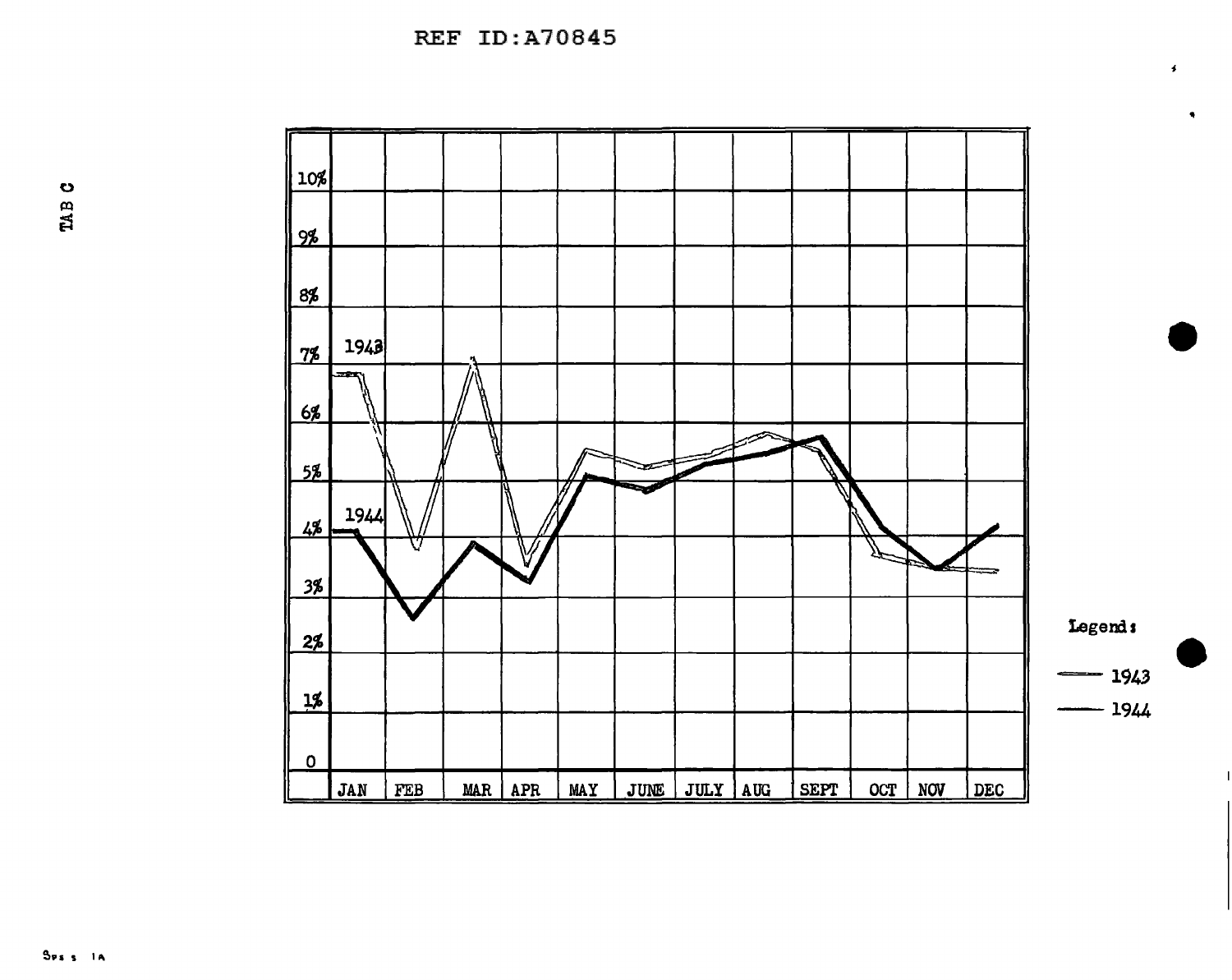REF ID:A70845



 $\overline{1}$ 

 $\bullet$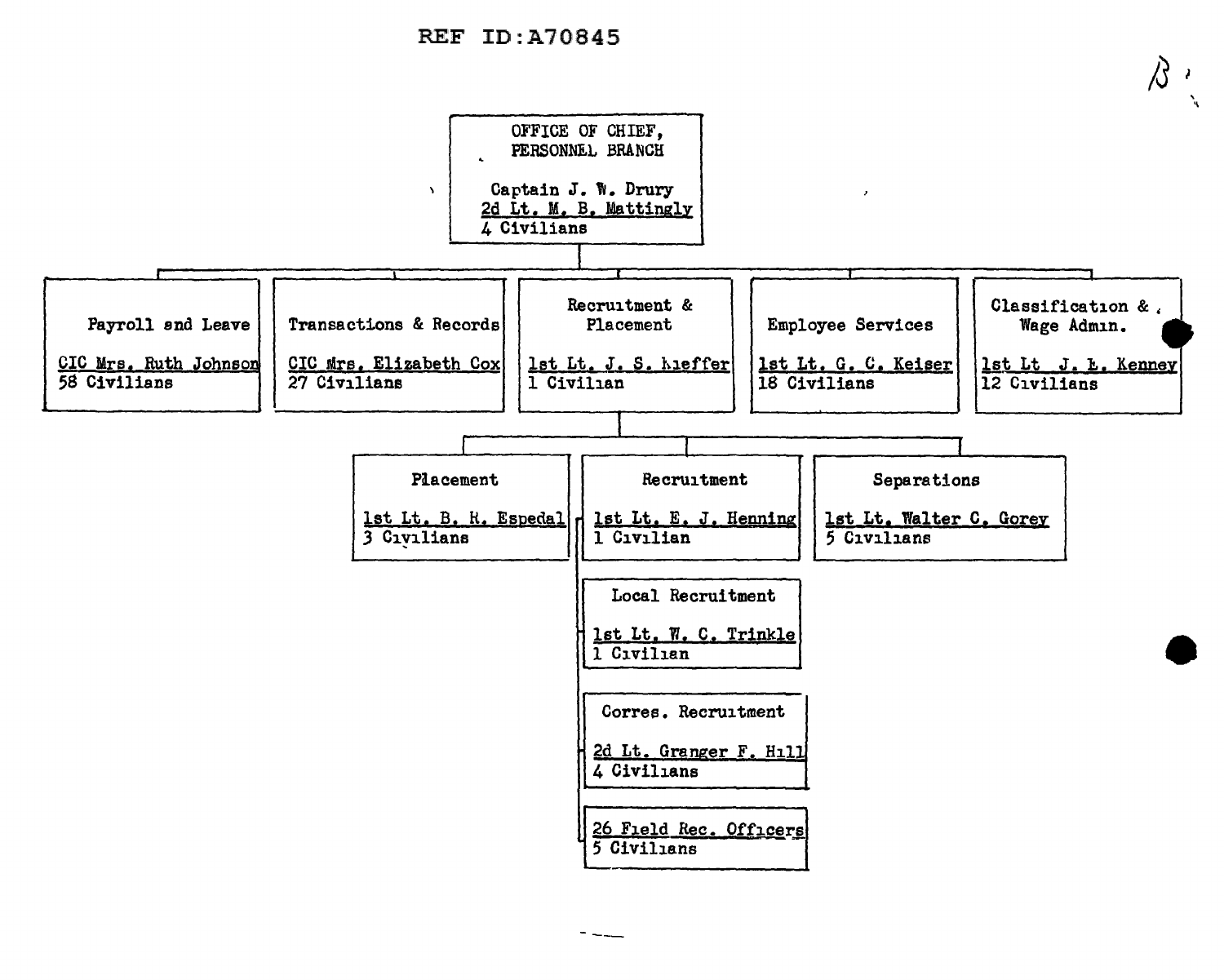## REF ID:A70845

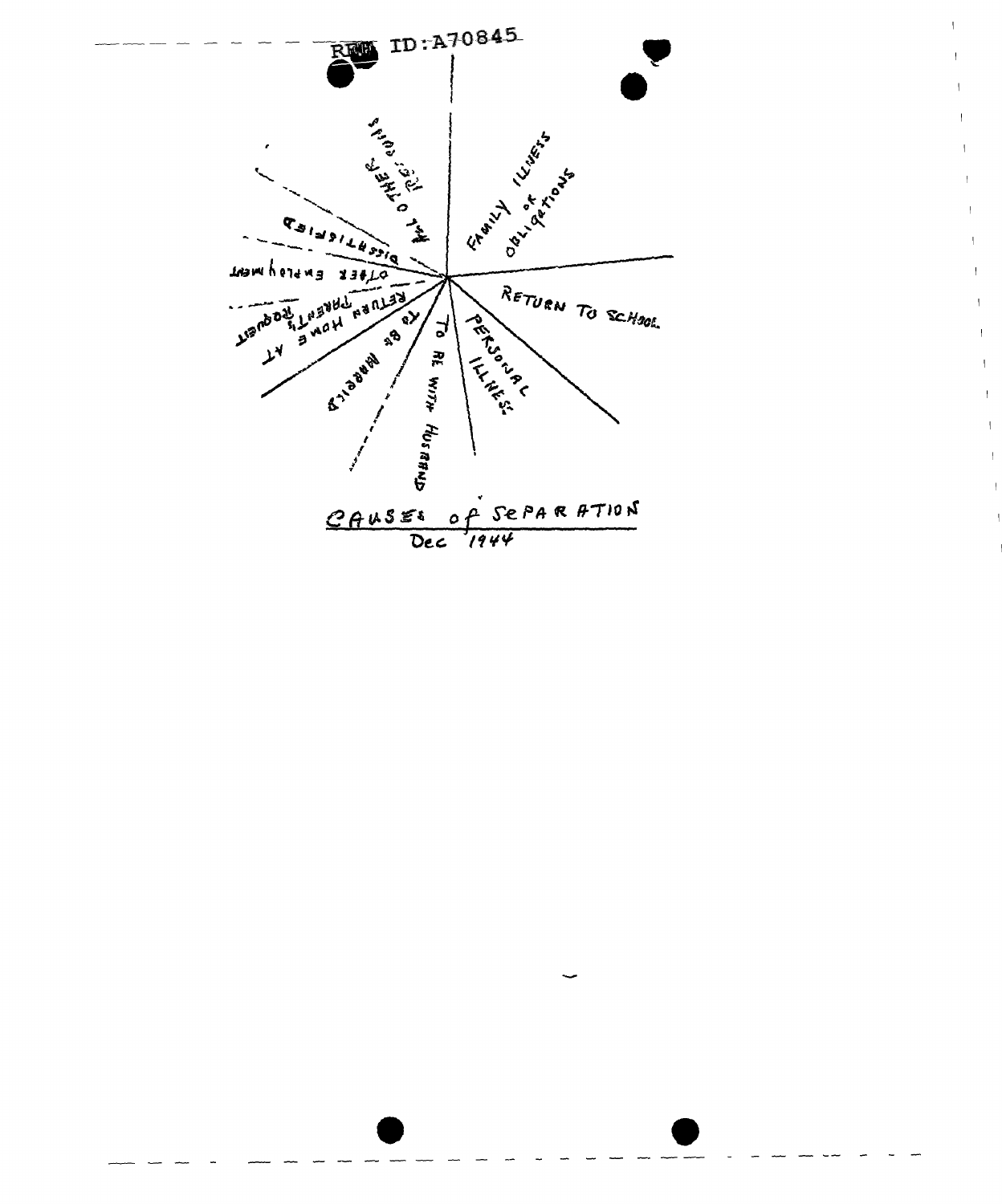

 $\mathcal{L}_{\mathcal{A}}$ 

 $\mathcal{A}$ 

 $\mathcal{V}$ 

 $\mathcal{A}$ 

 $\bar{\rm I}$  $\overline{1}$ 

 $\mathbf{L}$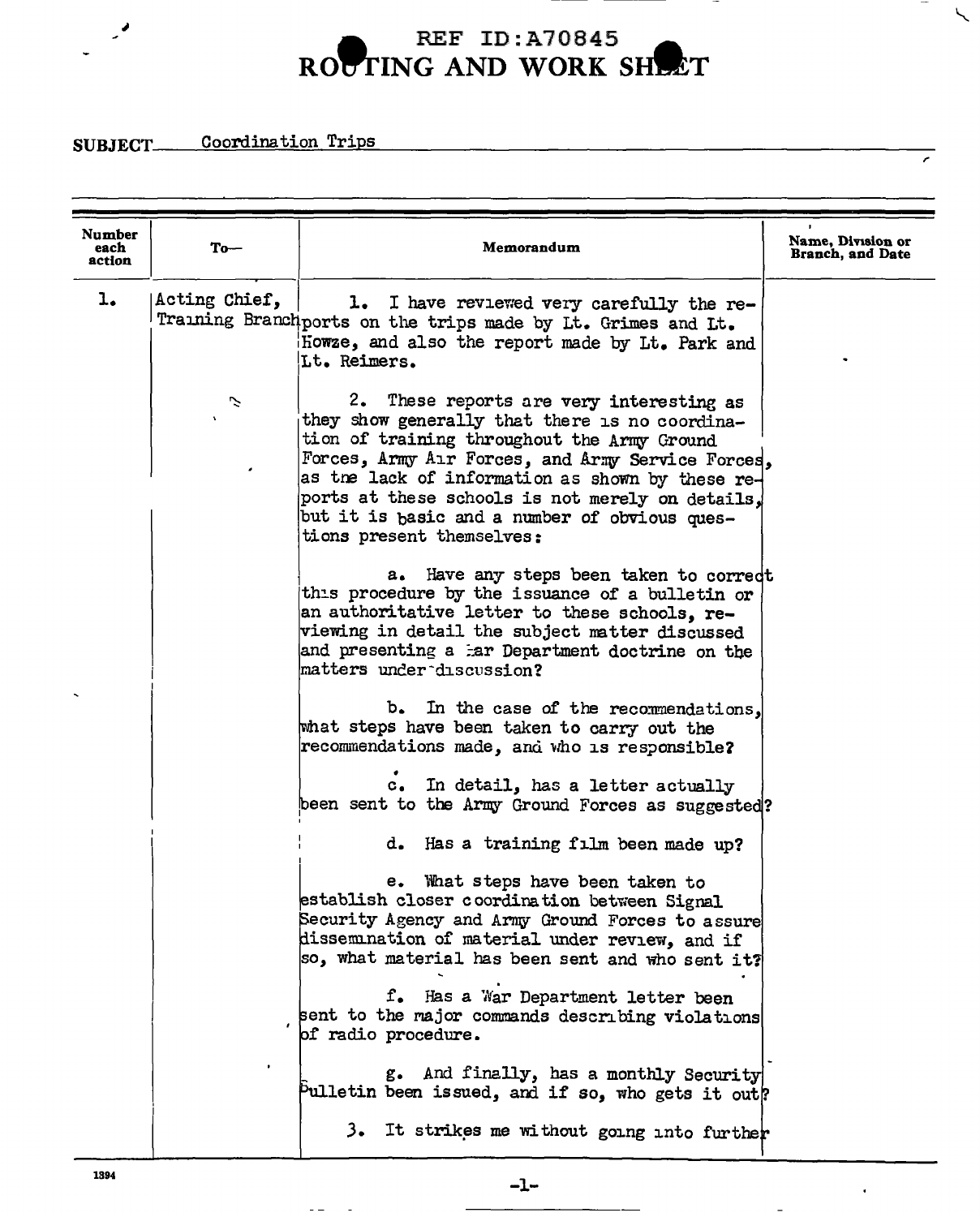## **A** REF ID:A70845 ROUTING AND WORK SHEET

,.

 $\overline{\phantom{a}}$ 

**SUBJECT** Coordination Trips

;

| Number<br>each<br>action | To $-$        | Memorandum                                                                                                                                                                                                                                                                                                                                                                           | Name, Division or<br><b>Branch, and Date</b> |
|--------------------------|---------------|--------------------------------------------------------------------------------------------------------------------------------------------------------------------------------------------------------------------------------------------------------------------------------------------------------------------------------------------------------------------------------------|----------------------------------------------|
| $\mathbf{1}_{\bullet}$   | Acting Chief, | 1. I have reviewed very carefully the re-<br>Training Branchports on the trips made by Lt. Grimes and Lt.<br>Howze, and also the report made by Lt. Park and<br>Lt. Reimers.                                                                                                                                                                                                         |                                              |
|                          | ご             | 2. These reports are very interesting as<br>they show generally that there is no coordina-<br>tion of training throughout the Army Ground<br>Forces, Army Air Forces, and Army Service Forces,<br>as the lack of information as shown by these re-<br>ports at these schools is not merely on details.<br>but it is basic and a number of obvious ques-<br>tions present themselves: |                                              |
|                          |               | a. Have any steps been taken to correct<br>this procedure by the issuance of a bulletin or<br>an authoritative letter to these schools, re-<br>viewing in detail the subject matter discussed<br>and presenting a tar Department doctrine on the<br>matters under discussion?                                                                                                        |                                              |
|                          |               | b. In the case of the recommendations,<br>what steps have been taken to carry out the<br>recommendations made, and who is responsible?                                                                                                                                                                                                                                               |                                              |
|                          |               | c. In detail, has a letter actually<br>been sent to the Army Ground Forces as suggested?                                                                                                                                                                                                                                                                                             |                                              |
|                          |               | d. Has a training film been made up?                                                                                                                                                                                                                                                                                                                                                 |                                              |
|                          |               | e. What steps have been taken to<br>establish closer coordination between Signal<br>Security Agency and Army Ground Forces to assure<br>dissemination of material under review, and if<br>so, what material has been sent and who sent it?                                                                                                                                           |                                              |
|                          |               | f. Has a War Department letter been<br>sent to the major commands describing violations<br>of radio procedure.                                                                                                                                                                                                                                                                       |                                              |
|                          |               | g. And finally, has a monthly Security<br>Pulletin been issued, and if so, who gets it out?                                                                                                                                                                                                                                                                                          |                                              |
|                          |               | It strikes me without going into further<br>з.                                                                                                                                                                                                                                                                                                                                       |                                              |

 $-1-$ 

 $\sim$   $\sim$ 

 $\overline{a}$